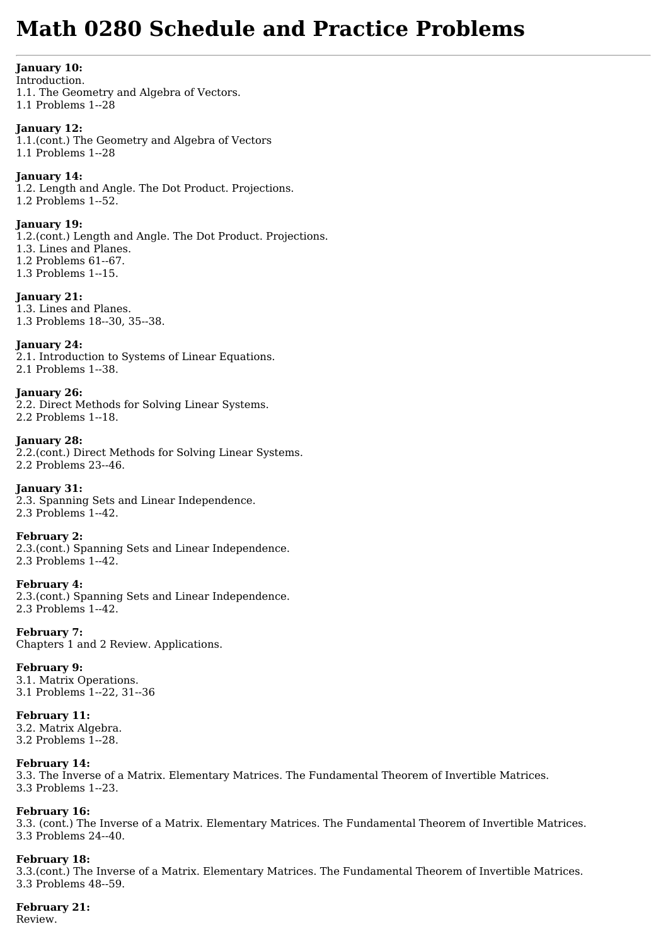# **Math 0280 Schedule and Practice Problems**

#### **January 10:**

Introduction. 1.1. The Geometry and Algebra of Vectors. 1.1 Problems 1--28

#### **January 12:**

1.1.(cont.) The Geometry and Algebra of Vectors 1.1 Problems 1--28

#### **January 14:**

1.2. Length and Angle. The Dot Product. Projections. 1.2 Problems 1--52.

#### **January 19:**

1.2.(cont.) Length and Angle. The Dot Product. Projections. 1.3. Lines and Planes. 1.2 Problems 61--67. 1.3 Problems 1--15.

#### **January 21:**

1.3. Lines and Planes. 1.3 Problems 18--30, 35--38.

# **January 24:**

2.1. Introduction to Systems of Linear Equations. 2.1 Problems 1--38.

# **January 26:**

2.2. Direct Methods for Solving Linear Systems. 2.2 Problems 1--18.

# **January 28:**

2.2.(cont.) Direct Methods for Solving Linear Systems. 2.2 Problems 23--46.

# **January 31:**

2.3. Spanning Sets and Linear Independence. 2.3 Problems 1--42.

# **February 2:**

2.3.(cont.) Spanning Sets and Linear Independence. 2.3 Problems 1--42.

# **February 4:**

2.3.(cont.) Spanning Sets and Linear Independence. 2.3 Problems 1--42.

**February 7:** Chapters 1 and 2 Review. Applications.

# **February 9:**

3.1. Matrix Operations. 3.1 Problems 1--22, 31--36

# **February 11:**

3.2. Matrix Algebra. 3.2 Problems 1--28.

# **February 14:**

3.3. The Inverse of a Matrix. Elementary Matrices. The Fundamental Theorem of Invertible Matrices. 3.3 Problems 1--23.

# **February 16:**

3.3. (cont.) The Inverse of a Matrix. Elementary Matrices. The Fundamental Theorem of Invertible Matrices. 3.3 Problems 24--40.

# **February 18:**

3.3.(cont.) The Inverse of a Matrix. Elementary Matrices. The Fundamental Theorem of Invertible Matrices. 3.3 Problems 48--59.

# **February 21:**

Review.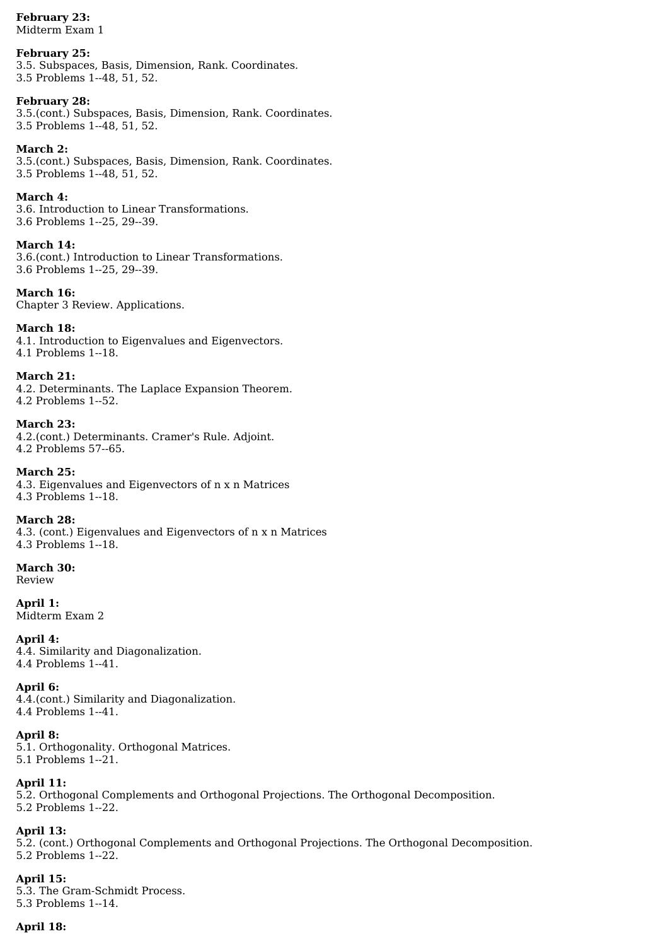#### **February 23:** Midterm Exam 1

# **February 25:**

3.5. Subspaces, Basis, Dimension, Rank. Coordinates. 3.5 Problems 1--48, 51, 52.

# **February 28:**

3.5.(cont.) Subspaces, Basis, Dimension, Rank. Coordinates. 3.5 Problems 1--48, 51, 52.

# **March 2:**

3.5.(cont.) Subspaces, Basis, Dimension, Rank. Coordinates. 3.5 Problems 1--48, 51, 52.

#### **March 4:**

3.6. Introduction to Linear Transformations. 3.6 Problems 1--25, 29--39.

# **March 14:**

3.6.(cont.) Introduction to Linear Transformations. 3.6 Problems 1--25, 29--39.

**March 16:** Chapter 3 Review. Applications.

# **March 18:**

4.1. Introduction to Eigenvalues and Eigenvectors. 4.1 Problems 1--18.

#### **March 21:** 4.2. Determinants. The Laplace Expansion Theorem. 4.2 Problems 1--52.

**March 23:** 4.2.(cont.) Determinants. Cramer's Rule. Adjoint. 4.2 Problems 57--65.

**March 25:** 4.3. Eigenvalues and Eigenvectors of n x n Matrices 4.3 Problems 1--18.

#### **March 28:** 4.3. (cont.) Eigenvalues and Eigenvectors of n x n Matrices 4.3 Problems 1--18.

**March 30:** Review

**April 1:** Midterm Exam 2

**April 4:** 4.4. Similarity and Diagonalization. 4.4 Problems 1--41.

**April 6:** 4.4.(cont.) Similarity and Diagonalization. 4.4 Problems 1--41.

# **April 8:**

5.1. Orthogonality. Orthogonal Matrices. 5.1 Problems 1--21.

# **April 11:**

5.2. Orthogonal Complements and Orthogonal Projections. The Orthogonal Decomposition. 5.2 Problems 1--22.

# **April 13:**

5.2. (cont.) Orthogonal Complements and Orthogonal Projections. The Orthogonal Decomposition. 5.2 Problems 1--22.

# **April 15:**

5.3. The Gram-Schmidt Process. 5.3 Problems 1--14.

# **April 18:**